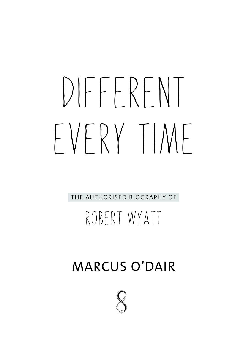# DIFFERENT EVERY TIME

THE AUTHORISED BIOGRAPHY OF

### ROBERT WYATT

#### MARCUS O'DAIR

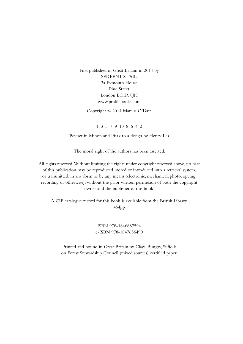First published in Great Britain in 2014 by SERPENT'S TAIL: 3a Exmouth House Pine Street London EC1R 0JH www.profilebooks.com

Copyright © 2014 Marcus O'Dair.

1 3 5 7 9 10 8 6 4 2

Typeset in Minon and Pisak to a design by Henry Iles.

The moral right of the authors has been asserted.

All rights reserved. Without limiting the rights under copyright reserved above, no part of this publication may be reproduced, stored or introduced into a retrieval system, or transmitted, in any form or by any means (electronic, mechanical, photocopying, recording or otherwise), without the prior written permission of both the copyright owner and the publisher of this book.

A CIP catalogue record for this book is available from the British Library. 464pp

> ISBN 978-1846687594 e-ISBN 978-1847656490

Printed and bound in Great Britain by Clays, Bungay, Suffolk on Forest Stewardship Council (mixed sources) certified paper.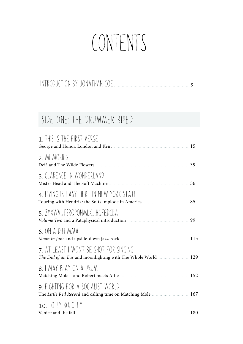## CONTENTS

| INTRODUCTION BY JONATHAN COE<br>9                                                                                                       |     |
|-----------------------------------------------------------------------------------------------------------------------------------------|-----|
| SIDE ONE: THE DRUMMER BIPED                                                                                                             |     |
| 1. THIS IS THE FIRST VERSE                                                                                                              |     |
| 2. MEMORIES<br>39                                                                                                                       |     |
| 3. CLARENCE IN WONDERLAND<br>56                                                                                                         |     |
| 4. LIVING IS EASY, HERE IN NEW YORK STATE<br>Touring with Hendrix: the Softs implode in America<br>85                                   |     |
| 5. ZYXWVUTSRQPONMLKJIHGFEDCBA<br>Volume Two and a Pataphysical introduction manuscription and Two and a Pataphysical introduction<br>99 |     |
| 6. ON A DILEMMA<br>Moon in June and upside-down jazz-rock [11] Moon in June 2014                                                        | 115 |
| 7. AT LEAST I WON'T BE SHOT FOR SINGING                                                                                                 | 129 |
| 8. I MAY PLAY ON A DRUM                                                                                                                 | 152 |
| <b>9.</b> FIGHTING FOR A SOCIALIST WORLD<br>The Little Red Record and calling time on Matching Mole  167                                |     |
| 10. FOLLY BOLOLEY<br>Venice and the fall <b>contract to the fall</b> 180                                                                |     |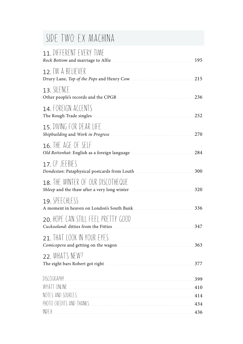|  | SIDE TWO: EX MACHINA |
|--|----------------------|
|  |                      |

| 11. DIFFERENT EVERY TIME<br>Rock Bottom and marriage to Alfie                                                                            | 195        |
|------------------------------------------------------------------------------------------------------------------------------------------|------------|
| 12. I'M A BELIEVER<br>Drury Lane, Top of the Pops and Henry Cow                                                                          | 215        |
| 13. SILENCE                                                                                                                              | 236        |
| 14. FOREIGN ACCENTS<br>The Rough Trade singles                                                                                           | 252        |
| 15. DIVING FOR DEAR LIFE<br>Shipbuilding and Work in Progress Manual Communications and Work in Progress                                 | 270        |
| 16. THE AGE OF SELF<br>Old Rottenhat: English as a foreign language manuscription of all and all all and all all all all all all all a   | 284        |
| 17. (P JEEBIES                                                                                                                           | 300        |
| 18. THE WINTER OF OUR DISCOTHEQUE<br>Shleep and the thaw after a very long winter <b>container</b> and the thaw after a very long winter | 320        |
| $19.$ SPEECHLESS<br>A moment in heaven on London's South Bank                                                                            | 336        |
| 20. HOPE CAN STILL FEEL PRETTY GOOD                                                                                                      |            |
| 21. THAT LOOK IN YOUR EYES<br>Comicopera and getting on the wagon <i>manufactured comicopera</i> and getting on the wagon                | 363        |
| 22. WHAT'S NEW?                                                                                                                          | 377        |
|                                                                                                                                          | 399        |
|                                                                                                                                          |            |
|                                                                                                                                          | 414        |
| <b>INDEX</b>                                                                                                                             | 434<br>436 |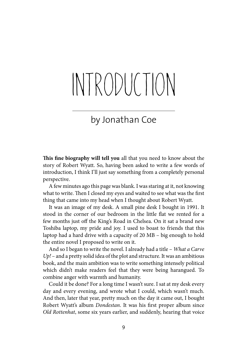# INTRODUCTION

#### by Jonathan Coe

**This fine biography will tell you** all that you need to know about the story of Robert Wyatt. So, having been asked to write a few words of introduction, I think I'll just say something from a completely personal perspective.

A few minutes ago this page was blank. I was staring at it, not knowing what to write. Then I closed my eyes and waited to see what was the first thing that came into my head when I thought about Robert Wyatt.

It was an image of my desk. A small pine desk I bought in 1991. It stood in the corner of our bedroom in the little flat we rented for a few months just off the King's Road in Chelsea. On it sat a brand new Toshiba laptop, my pride and joy. I used to boast to friends that this laptop had a hard drive with a capacity of 20 MB – big enough to hold the entire novel I proposed to write on it.

And so I began to write the novel. I already had a title – What a Carve  $Up!$  – and a pretty solid idea of the plot and structure. It was an ambitious book, and the main ambition was to write something intensely political which didn't make readers feel that they were being harangued. To combine anger with warmth and humanity.

Could it be done? For a long time I wasn't sure. I sat at my desk every day and every evening, and wrote what I could, which wasn't much. And then, later that year, pretty much on the day it came out, I bought Robert Wyatt's album *Dondestan*. It was his first proper album since Old Rottenhat, some six years earlier, and suddenly, hearing that voice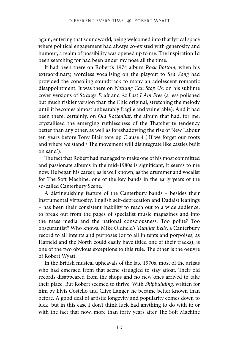again, entering that soundworld, being welcomed into that lyrical space where political engagement had always co-existed with generosity and humour, a realm of possibility was opened up to me. The inspiration I'd been searching for had been under my nose all the time.

It had been there on Robert's 1974 album Rock Bottom, when his extraordinary, wordless vocalising on the playout to Sea Song had provided the consoling soundtrack to many an adolescent romantic disappointment. It was there on Nothing Can Stop Us: on his sublime cover versions of Strange Fruit and At Last I Am Free (a less polished but much riskier version than the Chic original, stretching the melody until it becomes almost unbearably fragile and vulnerable). And it had been there, certainly, on Old Rottenhat, the album that had, for me, crystallised the emerging ruthlessness of the Thatcherite tendency better than any other, as well as foreshadowing the rise of New Labour ten years before Tony Blair tore up Clause 4 ('If we forget our roots and where we stand / The movement will disintegrate like castles built on sand').

The fact that Robert had managed to make one of his most committed and passionate albums in the mid-1980s is significant, it seems to me now. He began his career, as is well known, as the drummer and vocalist for The Soft Machine, one of the key bands in the early years of the so-called Canterbury Scene.

A distinguishing feature of the Canterbury bands – besides their instrumental virtuosity, English self-deprecation and Dadaist leanings – has been their consistent inability to reach out to a wide audience, to break out from the pages of specialist music magazines and into the mass media and the national consciousness. Too polite? Too obscurantist? Who knows. Mike Oldfield's Tubular Bells, a Canterbury record to all intents and purposes (or to all in tents and porpoises, as Hat field and the North could easily have titled one of their tracks), is one of the two obvious exceptions to this rule. The other is the oeuvre of Robert Wyatt.

In the British musical upheavals of the late 1970s, most of the artists who had emerged from that scene struggled to stay afloat. Their old records disappeared from the shops and no new ones arrived to take their place. But Robert seemed to thrive. With Shipbuilding, written for him by Elvis Costello and Clive Langer, he became better known than before. A good deal of artistic longevity and popularity comes down to luck, but in this case I don't think luck had anything to do with it: or with the fact that now, more than forty years after The Soft Machine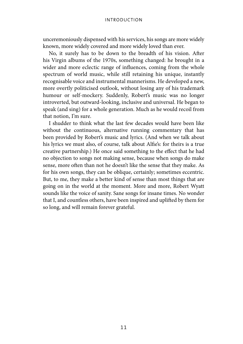#### **INTRODUCTION**

unceremoniously dispensed with his services, his songs are more widely known, more widely covered and more widely loved than ever.

No, it surely has to be down to the breadth of his vision. After his Virgin albums of the 1970s, something changed: he brought in a wider and more eclectic range of influences, coming from the whole spectrum of world music, while still retaining his unique, instantly recognisable voice and instrumental mannerisms. He developed a new, more overtly politicised outlook, without losing any of his trademark humour or self-mockery. Suddenly, Robert's music was no longer introverted, but outward-looking, inclusive and universal. He began to speak (and sing) for a whole generation. Much as he would recoil from that notion, I'm sure.

I shudder to think what the last few decades would have been like without the continuous, alternative running commentary that has been provided by Robert's music and lyrics. (And when we talk about his lyrics we must also, of course, talk about Alfie's: for theirs is a true creative partnership.) He once said something to the effect that he had no objection to songs not making sense, because when songs do make sense, more often than not he doesn't like the sense that they make. As for his own songs, they can be oblique, certainly; sometimes eccentric. But, to me, they make a better kind of sense than most things that are going on in the world at the moment. More and more, Robert Wyatt sounds like the voice of sanity. Sane songs for insane times. No wonder that I, and countless others, have been inspired and uplifted by them for so long, and will remain forever grateful.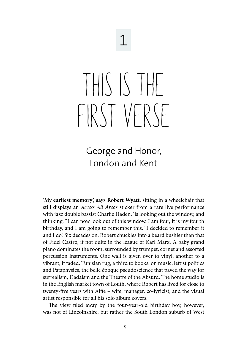### 1

# THIS IS THE FIRST VERSE

George and Honor, London and Kent

**'My earliest memory', says Robert Wyatt**, sitting in a wheelchair that still displays an Access All Areas sticker from a rare live performance with jazz double bassist Charlie Haden, 'is looking out the window, and thinking: "I can now look out of this window. I am four, it is my fourth birthday, and I am going to remember this." I decided to remember it and I do.' Six decades on, Robert chuckles into a beard bushier than that of Fidel Castro, if not quite in the league of Karl Marx. A baby grand piano dominates the room, surrounded by trumpet, cornet and assorted percussion instruments. One wall is given over to vinyl, another to a vibrant, if faded, Tunisian rug, a third to books: on music, leftist politics and Pataphysics, the belle époque pseudoscience that paved the way for surrealism, Dadaism and the Theatre of the Absurd. The home studio is in the English market town of Louth, where Robert has lived for close to twenty-five years with Alfie – wife, manager, co-lyricist, and the visual artist responsible for all his solo album covers.

The view filed away by the four-year-old birthday boy, however, was not of Lincolnshire, but rather the South London suburb of West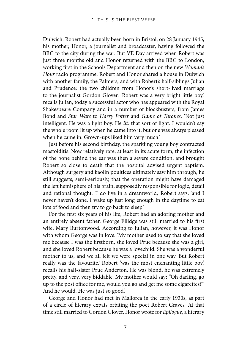Dulwich. Robert had actually been born in Bristol, on 28 January 1945, his mother, Honor, a journalist and broadcaster, having followed the BBC to the city during the war. But VE Day arrived when Robert was just three months old and Honor returned with the BBC to London, working first in the Schools Department and then on the new Woman's Hour radio programme. Robert and Honor shared a house in Dulwich with another family, the Palmers, and with Robert's half-siblings Julian and Prudence: the two children from Honor's short-lived marriage to the journalist Gordon Glover. 'Robert was a very bright little boy,' recalls Julian, today a successful actor who has appeared with the Royal Shakespeare Company and in a number of blockbusters, from James Bond and Star Wars to Harry Potter and Game of Thrones. 'Not just intelligent. He was a light boy. He lit: that sort of light. I wouldn't say the whole room lit up when he came into it, but one was always pleased when he came in. Grown-ups liked him very much.'

Just before his second birthday, the sparkling young boy contracted mastoiditis. Now relatively rare, at least in its acute form, the infection of the bone behind the ear was then a severe condition, and brought Robert so close to death that the hospital advised urgent baptism. Although surgery and kaolin poultices ultimately saw him through, he still suggests, semi-seriously, that the operation might have damaged the left hemisphere of his brain, supposedly responsible for logic, detail and rational thought. 'I do live in a dreamworld,' Robert says, 'and I never haven't done. I wake up just long enough in the daytime to eat lots of food and then try to go back to sleep.'

For the first six years of his life, Robert had an adoring mother and an entirely absent father. George Ellidge was still married to his first wife, Mary Burtonwood. According to Julian, however, it was Honor with whom George was in love. 'My mother used to say that she loved me because I was the firstborn, she loved Prue because she was a girl, and she loved Robert because he was a lovechild. She was a wonderful mother to us, and we all felt we were special in one way. But Robert really was the favourite.' Robert 'was the most enchanting little boy,' recalls his half-sister Prue Anderton. He was blond, he was extremely pretty, and very, very biddable. My mother would say: "Oh darling, go up to the post office for me, would you go and get me some cigarettes?" And he would. He was just so good.'

George and Honor had met in Mallorca in the early 1930s, as part of a circle of literary expats orbiting the poet Robert Graves. At that time still married to Gordon Glover, Honor wrote for Epilogue, a literary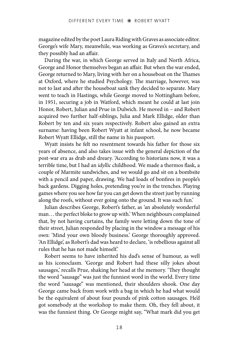magazine edited by the poet Laura Riding with Graves as associate editor. George's wife Mary, meanwhile, was working as Graves's secretary, and they possibly had an affair.

During the war, in which George served in Italy and North Africa, George and Honor themselves began an affair. But when the war ended, George returned to Mary, living with her on a houseboat on the Thames at Oxford, where he studied Psychology. The marriage, however, was not to last and after the houseboat sank they decided to separate. Mary went to teach in Hastings, while George moved to Nottingham before, in 1951, securing a job in Watford, which meant he could at last join Honor, Robert, Julian and Prue in Dulwich. He moved in – and Robert acquired two further half-siblings, Julia and Mark Ellidge, older than Robert by ten and six years respectively. Robert also gained an extra surname: having been Robert Wyatt at infant school, he now became Robert Wyatt Ellidge, still the name in his passport.

Wyatt insists he felt no resentment towards his father for those six years of absence, and also takes issue with the general depiction of the post-war era as drab and dreary. 'According to historians now, it was a terrible time, but I had an *idyllic* childhood. We made a thermos flask, a couple of Marmite sandwiches, and we would go and sit on a bombsite with a pencil and paper, drawing. We had loads of bonfires in people's back gardens. Digging holes, pretending you're in the trenches. Playing games where you see how far you can get down the street just by running along the roofs, without ever going onto the ground. It was such fun.'

Julian describes George, Robert's father, as 'an absolutely wonderful man… the perfect bloke to grow up with.' When neighbours complained that, by not having curtains, the family were letting down the tone of their street, Julian responded by placing in the window a message of his own: 'Mind your own bloody business.' George thoroughly approved. 'An Ellidge', as Robert's dad was heard to declare, 'is rebellious against all rules that he has not made himself.'

Robert seems to have inherited his dad's sense of humour, as well as his iconoclasm. 'George and Robert had these silly jokes about sausages, recalls Prue, shaking her head at the memory. 'They thought the word "sausage" was just the funniest word in the world. Every time the word "sausage" was mentioned, their shoulders shook. One day George came back from work with a bag in which he had what would be the equivalent of about four pounds of pink cotton sausages. He'd got somebody at the workshop to make them. Oh, they fell about, it was the funniest thing. Or George might say, "What mark did you get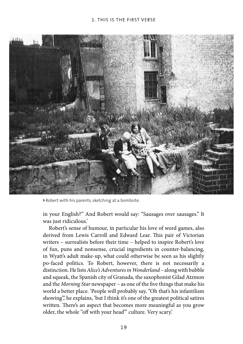

**>** Robert with his parents, sketching at a bombsite.

in your English?" And Robert would say: "Sausages over sausages." It was just ridiculous.'

Robert's sense of humour, in particular his love of word games, also derived from Lewis Carroll and Edward Lear. This pair of Victorian writers – surrealists before their time – helped to inspire Robert's love of fun, puns and nonsense, crucial ingredients in counter-balancing, in Wyatt's adult make-up, what could otherwise be seen as his slightly po-faced politics. To Robert, however, there is not necessarily a distinction. He lists Alice's Adventures in Wonderland – along with bubble and squeak, the Spanish city of Granada, the saxophonist Gilad Atzmon and the Morning Star newspaper – as one of the five things that make his world a better place. 'People will probably say, "Oh that's his infantilism showing", he explains, 'but I think it's one of the greatest political satires written. There's an aspect that becomes more meaningful as you grow older, the whole "off with your head"" culture. Very scary.'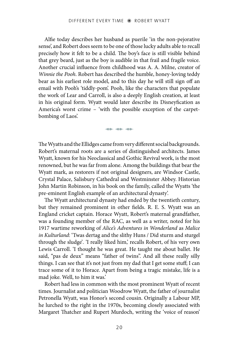Alfie today describes her husband as puerile 'in the non-pejorative sense', and Robert does seem to be one of those lucky adults able to recall precisely how it felt to be a child. The boy's face is still visible behind that grey beard, just as the boy is audible in that frail and fragile voice. Another crucial influence from childhood was A. A. Milne, creator of Winnie the Pooh. Robert has described the humble, honey-loving teddy bear as his earliest role model, and to this day he will still sign off an email with Pooh's 'tiddly-pom'. Pooh, like the characters that populate the work of Lear and Carroll, is also a deeply English creation, at least in his original form. Wyatt would later describe its Disneyfication as America's worst crime – 'with the possible exception of the carpetbombing of Laos'.

 $-353$   $6\leftarrow$   $-353$   $6\leftarrow$   $-353$   $6\leftarrow$ 

The Wyatts and the Ellidges came from very different social backgrounds. Robert's maternal roots are a series of distinguished architects. James Wyatt, known for his Neoclassical and Gothic Revival work, is the most renowned, but he was far from alone. Among the buildings that bear the Wyatt mark, as restorers if not original designers, are Windsor Castle, Crystal Palace, Salisbury Cathedral and Westminster Abbey. Historian John Martin Robinson, in his book on the family, called the Wyatts 'the pre-eminent English example of an architectural dynasty'.

The Wyatt architectural dynasty had ended by the twentieth century, but they remained prominent in other fields. R. E. S. Wyatt was an England cricket captain. Horace Wyatt, Robert's maternal grandfather, was a founding member of the RAC, as well as a writer, noted for his 1917 wartime reworking of Alice's Adventures in Wonderland as Malice in Kulturland: 'Twas dertag and the slithy Huns / Did sturm and sturgel through the sludge'. 'I really liked him,' recalls Robert, of his very own Lewis Carroll. 'I thought he was great. He taught me about ballet. He said, "pas de deux" means "father of twins". And all these really silly things. I can see that it's not just from my dad that I get some stuff; I can trace some of it to Horace. Apart from being a tragic mistake, life is a mad joke. Well, to him it was.'

Robert had less in common with the most prominent Wyatt of recent times. Journalist and politician Woodrow Wyatt, the father of journalist Petronella Wyatt, was Honor's second cousin. Originally a Labour MP, he lurched to the right in the 1970s, becoming closely associated with Margaret Thatcher and Rupert Murdoch, writing the 'voice of reason'